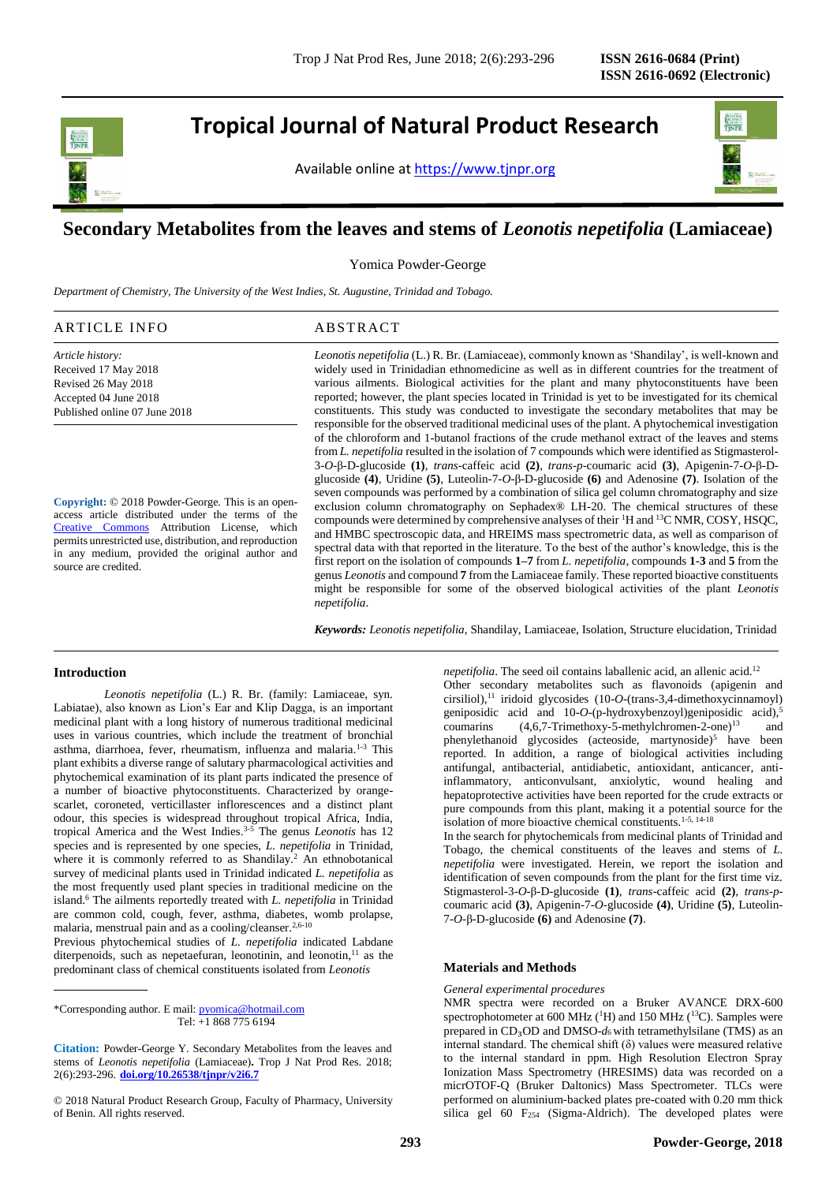Revised 26 May 2018 Accepted 04 June 2018 Published online 07 June 2018

**Tropical Journal of Natural Product Research**

Available online at [https://www.tjnpr.org](https://www.tjnpr.org/)



# **Secondary Metabolites from the leaves and stems of** *Leonotis nepetifolia* **(Lamiaceae)**

Yomica Powder-George

*Department of Chemistry, The University of the West Indies, St. Augustine, Trinidad and Tobago.*

| ARTICLE INFO         | ABSTRACT                                                                                              |
|----------------------|-------------------------------------------------------------------------------------------------------|
| Article history:     | <i>Leonotis nepetifolia</i> (L.) R. Br. (Lamiaceae), commonly known as 'Shandilay', is well-known and |
| Received 17 May 2018 | widely used in Trinidadian ethnomedicine as well as in different countries for the treatment of       |

**Copyright:** © 2018 Powder-George. This is an openaccess article distributed under the terms of the [Creative Commons](https://creativecommons.org/licenses/by/4.0/) Attribution License, which permits unrestricted use, distribution, and reproduction in any medium, provided the original author and source are credited.

various ailments. Biological activities for the plant and many phytoconstituents have been reported; however, the plant species located in Trinidad is yet to be investigated for its chemical constituents. This study was conducted to investigate the secondary metabolites that may be responsible for the observed traditional medicinal uses of the plant. A phytochemical investigation of the chloroform and 1-butanol fractions of the crude methanol extract of the leaves and stems from *L. nepetifolia* resulted in the isolation of 7 compounds which were identified as Stigmasterol-3-*O*-β-D-glucoside **(1)**, *trans*-caffeic acid **(2)**, *trans*-*p*-coumaric acid **(3)**, Apigenin-7-*O*-β-Dglucoside **(4)**, Uridine **(5)**, Luteolin-7-*O*-β-D-glucoside **(6)** and Adenosine **(7)**. Isolation of the seven compounds was performed by a combination of silica gel column chromatography and size exclusion column chromatography on Sephadex® LH-20. The chemical structures of these compounds were determined by comprehensive analyses of their <sup>1</sup>H and <sup>13</sup>C NMR, COSY, HSQC, and HMBC spectroscopic data, and HREIMS mass spectrometric data, as well as comparison of spectral data with that reported in the literature. To the best of the author's knowledge, this is the first report on the isolation of compounds **1–7** from *L. nepetifolia*, compounds **1-3** and **5** from the genus *Leonotis* and compound **7** from the Lamiaceae family. These reported bioactive constituents might be responsible for some of the observed biological activities of the plant *Leonotis nepetifolia*.

*Keywords: Leonotis nepetifolia*, Shandilay, Lamiaceae, Isolation, Structure elucidation, Trinidad

## **Introduction**

*Leonotis nepetifolia* (L.) R. Br. (family: Lamiaceae, syn. Labiatae), also known as Lion's Ear and Klip Dagga, is an important medicinal plant with a long history of numerous traditional medicinal uses in various countries, which include the treatment of bronchial asthma, diarrhoea, fever, rheumatism, influenza and malaria.<sup>1-3</sup> This plant exhibits a diverse range of salutary pharmacological activities and phytochemical examination of its plant parts indicated the presence of a number of bioactive phytoconstituents. Characterized by orangescarlet, coroneted, verticillaster inflorescences and a distinct plant odour, this species is widespread throughout tropical Africa, India, tropical America and the West Indies.3-5 The genus *Leonotis* has 12 species and is represented by one species, *L. nepetifolia* in Trinidad, where it is commonly referred to as Shandilay.<sup>2</sup> An ethnobotanical survey of medicinal plants used in Trinidad indicated *L. nepetifolia* as the most frequently used plant species in traditional medicine on the island.<sup>6</sup> The ailments reportedly treated with *L. nepetifolia* in Trinidad are common cold, cough, fever, asthma, diabetes, womb prolapse, malaria, menstrual pain and as a cooling/cleanser.<sup>2,6-10</sup>

Previous phytochemical studies of *L. nepetifolia* indicated Labdane diterpenoids, such as nepetaefuran, leonotinin, and leonotin, $11$  as the predominant class of chemical constituents isolated from *Leonotis* 

*nepetifolia*. The seed oil contains laballenic acid, an allenic acid.<sup>12</sup> Other secondary metabolites such as flavonoids (apigenin and cirsiliol),<sup>11</sup> iridoid glycosides (10-*O*-(trans-3,4-dimethoxycinnamoyl) geniposidic acid and 10-*O*-(p-hydroxybenzoyl)geniposidic acid),<sup>5</sup> coumarins  $(4.6.7-Trimethoxv-5-methvlehromen-2-one)^{13}$  and phenylethanoid glycosides (acteoside, martynoside)<sup>5</sup> have been reported. In addition, a range of biological activities including antifungal, antibacterial, antidiabetic, antioxidant, anticancer, antiinflammatory, anticonvulsant, anxiolytic, wound healing and hepatoprotective activities have been reported for the crude extracts or pure compounds from this plant, making it a potential source for the isolation of more bioactive chemical constituents.1-5, 14-18

In the search for phytochemicals from medicinal plants of Trinidad and Tobago, the chemical constituents of the leaves and stems of *L. nepetifolia* were investigated. Herein, we report the isolation and identification of seven compounds from the plant for the first time viz. Stigmasterol-3-*O*-β-D-glucoside **(1)**, *trans*-caffeic acid **(2)**, *trans*-*p*coumaric acid **(3)**, Apigenin-7-*O*-glucoside **(4)**, Uridine **(5)**, Luteolin-7-*O*-β-D-glucoside **(6)** and Adenosine **(7)**.

### **Materials and Methods**

#### *General experimental procedures*

NMR spectra were recorded on a Bruker AVANCE DRX-600 spectrophotometer at 600 MHz ( ${}^{1}$ H) and 150 MHz ( ${}^{13}$ C). Samples were prepared in CD₃OD and DMSO-*d*6 with tetramethylsilane (TMS) as an internal standard. The chemical shift  $(\delta)$  values were measured relative to the internal standard in ppm. High Resolution Electron Spray Ionization Mass Spectrometry (HRESIMS) data was recorded on a micrOTOF-Q (Bruker Daltonics) Mass Spectrometer. TLCs were performed on aluminium-backed plates pre-coated with 0.20 mm thick silica gel 60 F<sub>254</sub> (Sigma-Aldrich). The developed plates were

<sup>\*</sup>Corresponding author. E mail[: pyomica@hotmail.com](mailto:pyomica@hotmail.com)  Tel: +1 868 775 6194

**Citation:** Powder-George Y. Secondary Metabolites from the leaves and stems of *Leonotis nepetifolia* (Lamiaceae)**.** Trop J Nat Prod Res. 2018; 2(6):293-296. **[doi.org/10.26538/tjnpr/v2i6.7](http://www.doi.org/10.26538/tjnpr/v1i4.5)**

<sup>© 2018</sup> Natural Product Research Group, Faculty of Pharmacy, University of Benin. All rights reserved.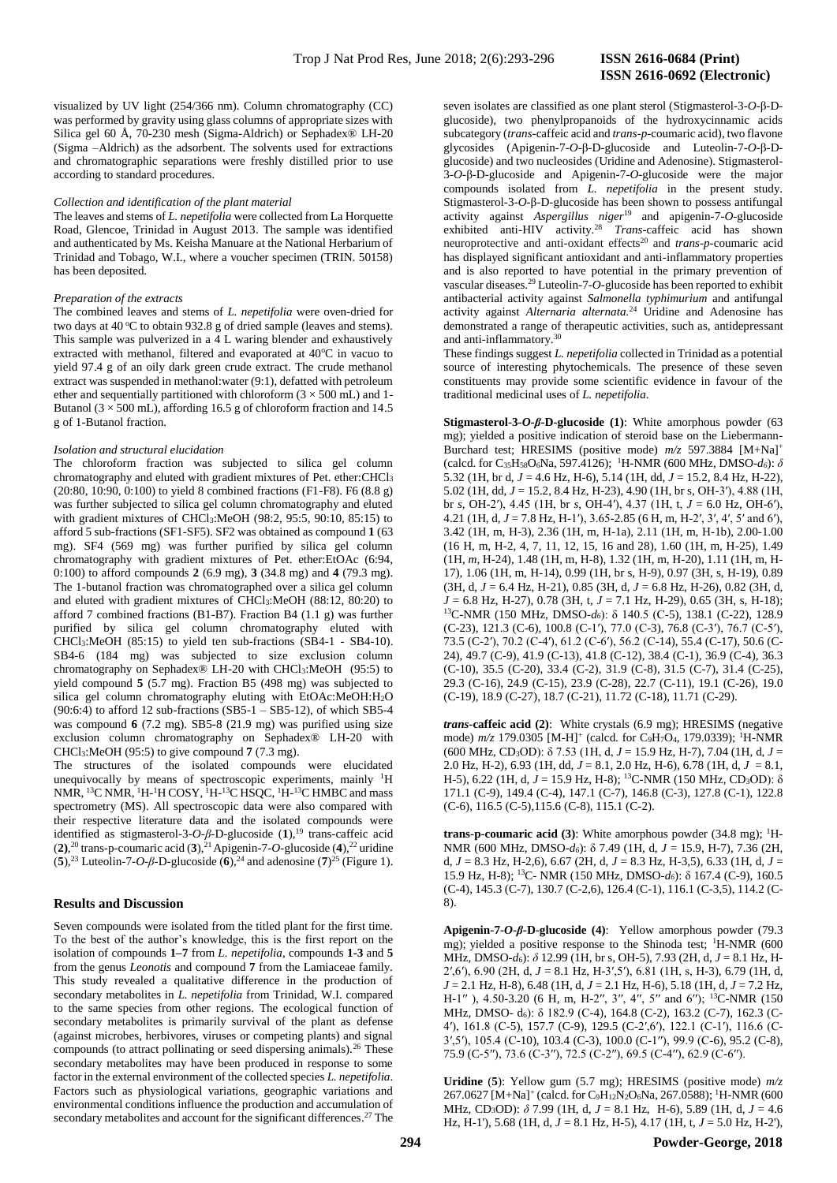visualized by UV light (254/366 nm). Column chromatography (CC) was performed by gravity using glass columns of appropriate sizes with Silica gel 60 Å, 70-230 mesh (Sigma-Aldrich) or Sephadex® LH-20 (Sigma –Aldrich) as the adsorbent. The solvents used for extractions and chromatographic separations were freshly distilled prior to use according to standard procedures.

#### *Collection and identification of the plant material*

The leaves and stems of *L. nepetifolia* were collected from La Horquette Road, Glencoe, Trinidad in August 2013. The sample was identified and authenticated by Ms. Keisha Manuare at the National Herbarium of Trinidad and Tobago, W.I., where a voucher specimen (TRIN. 50158) has been deposited.

#### *Preparation of the extracts*

The combined leaves and stems of *L. nepetifolia* were oven-dried for two days at  $40^{\circ}$ C to obtain 932.8 g of dried sample (leaves and stems). This sample was pulverized in a  $\overline{4}$  L waring blender and exhaustively extracted with methanol, filtered and evaporated at 40°C in vacuo to yield 97.4 g of an oily dark green crude extract. The crude methanol extract was suspended in methanol:water (9:1), defatted with petroleum ether and sequentially partitioned with chloroform ( $3 \times 500$  mL) and 1-Butanol ( $3 \times 500$  mL), affording 16.5 g of chloroform fraction and 14.5 g of 1-Butanol fraction.

#### *Isolation and structural elucidation*

The chloroform fraction was subjected to silica gel column chromatography and eluted with gradient mixtures of Pet. ether:CHCl<sup>3</sup> (20:80, 10:90, 0:100) to yield 8 combined fractions (F1-F8). F6 (8.8 g) was further subjected to silica gel column chromatography and eluted with gradient mixtures of CHCl3:MeOH (98:2, 95:5, 90:10, 85:15) to afford 5 sub-fractions (SF1-SF5). SF2 was obtained as compound **1** (63 mg). SF4 (569 mg) was further purified by silica gel column chromatography with gradient mixtures of Pet. ether:EtOAc (6:94, 0:100) to afford compounds **2** (6.9 mg), **3** (34.8 mg) and **4** (79.3 mg). The 1-butanol fraction was chromatographed over a silica gel column and eluted with gradient mixtures of CHCl3:MeOH (88:12, 80:20) to afford 7 combined fractions (B1-B7). Fraction B4 (1.1 g) was further purified by silica gel column chromatography eluted with CHCl3:MeOH (85:15) to yield ten sub-fractions (SB4-1 - SB4-10). SB4-6 (184 mg) was subjected to size exclusion column chromatography on Sephadex® LH-20 with CHCl<sub>3</sub>:MeOH (95:5) to yield compound **5** (5.7 mg). Fraction B5 (498 mg) was subjected to silica gel column chromatography eluting with EtOAc:MeOH:H2O  $(90:6:4)$  to afford 12 sub-fractions  $(SB5-1 - SB5-12)$ , of which SB5-4 was compound **6** (7.2 mg). SB5-8 (21.9 mg) was purified using size exclusion column chromatography on Sephadex® LH-20 with CHCl3:MeOH (95:5) to give compound **7** (7.3 mg).

The structures of the isolated compounds were elucidated unequivocally by means of spectroscopic experiments, mainly <sup>1</sup>H NMR, <sup>13</sup>C NMR, <sup>1</sup>H-<sup>1</sup>H COSY, <sup>1</sup>H-<sup>13</sup>C HSQC, <sup>1</sup>H-<sup>13</sup>C HMBC and mass spectrometry (MS). All spectroscopic data were also compared with their respective literature data and the isolated compounds were identified as stigmasterol-3-*O-β*-D-glucoside (1),<sup>19</sup> trans-caffeic acid  $(2)$ ,<sup>20</sup> trans-p-coumaric acid  $(3)$ ,<sup>21</sup> Apigenin-7-*O*-glucoside  $(4)$ ,<sup>22</sup> uridine (5),<sup>23</sup> Luteolin-7-*O-β*-D-glucoside (6),<sup>24</sup> and adenosine (7)<sup>25</sup> (Figure 1).

#### **Results and Discussion**

Seven compounds were isolated from the titled plant for the first time. To the best of the author's knowledge, this is the first report on the isolation of compounds **1–7** from *L. nepetifolia*, compounds **1-3** and **5** from the genus *Leonotis* and compound **7** from the Lamiaceae family. This study revealed a qualitative difference in the production of secondary metabolites in *L. nepetifolia* from Trinidad, W.I. compared to the same species from other regions. The ecological function of secondary metabolites is primarily survival of the plant as defense (against microbes, herbivores, viruses or competing plants) and signal compounds (to attract pollinating or seed dispersing animals).<sup>26</sup> These secondary metabolites may have been produced in response to some factor in the external environment of the collected species *L. nepetifolia*. Factors such as physiological variations, geographic variations and environmental conditions influence the production and accumulation of secondary metabolites and account for the significant differences.<sup>27</sup> The

seven isolates are classified as one plant sterol (Stigmasterol-3-*O*-β-Dglucoside), two phenylpropanoids of the hydroxycinnamic acids subcategory (*trans*-caffeic acid and *trans*-*p*-coumaric acid), two flavone glycosides (Apigenin-7-*O*-β-D-glucoside and Luteolin-7-*O*-β-Dglucoside) and two nucleosides (Uridine and Adenosine). Stigmasterol-3-*O*-β-D-glucoside and Apigenin-7-*O*-glucoside were the major compounds isolated from *L. nepetifolia* in the present study. Stigmasterol-3-*O*-β-D-glucoside has been shown to possess antifungal activity against *Aspergillus niger*<sup>19</sup> and apigenin-7-*O*-glucoside exhibited anti-HIV activity.<sup>28</sup> *Trans*-caffeic acid has shown neuroprotective and anti-oxidant effects<sup>20</sup> and *trans-p*-coumaric acid has displayed significant antioxidant and anti-inflammatory properties and is also reported to have potential in the primary prevention of vascular diseases.<sup>29</sup> Luteolin-7-*O*-glucoside has been reported to exhibit antibacterial activity against *Salmonella typhimurium* and antifungal activity against *Alternaria alternata.*<sup>24</sup> Uridine and Adenosine has demonstrated a range of therapeutic activities, such as, antidepressant and anti-inflammatory.<sup>30</sup>

These findings suggest *L. nepetifolia* collected in Trinidad as a potential source of interesting phytochemicals. The presence of these seven constituents may provide some scientific evidence in favour of the traditional medicinal uses of *L. nepetifolia*.

**Stigmasterol-3-***O***-***β***-D-glucoside (1)**: White amorphous powder (63 mg); yielded a positive indication of steroid base on the Liebermann-Burchard test; HRESIMS (positive mode) *m/z* 597.3884 [M+Na]<sup>+</sup> (calcd. for C35H58O6Na, 597.4126); <sup>1</sup>H-NMR (600 MHz, DMSO-*d6*): *δ* 5.32 (1H, br d, *J* = 4.6 Hz, H-6), 5.14 (1H, dd, *J* = 15.2, 8.4 Hz, H-22), 5.02 (1H, dd, *J* = 15.2, 8.4 Hz, H-23), 4.90 (1H, br s, OH-3′), 4.88 (1H, br *s*, OH-2′), 4.45 (1H, br *s*, OH-4′), 4.37 (1H, t, *J* = 6.0 Hz, OH-6′), 4.21 (1H, d, *J* = 7.8 Hz, H-1′), 3.65-2.85 (6 H, m, H-2′, 3′, 4′, 5′ and 6′), 3.42 (1H, m, H-3), 2.36 (1H, m, H-1a), 2.11 (1H, m, H-1b), 2.00-1.00 (16 H, m, H-2, 4, 7, 11, 12, 15, 16 and 28), 1.60 (1H, m, H-25), 1.49 (1H, *m*, H-24), 1.48 (1H, m, H-8), 1.32 (1H, m, H-20), 1.11 (1H, m, H-17), 1.06 (1H, m, H-14), 0.99 (1H, br s, H-9), 0.97 (3H, s, H-19), 0.89 (3H, d, *J* = 6.4 Hz, H-21), 0.85 (3H, d, *J* = 6.8 Hz, H-26), 0.82 (3H, d, *J* = 6.8 Hz, H-27), 0.78 (3H, t, *J* = 7.1 Hz, H-29), 0.65 (3H, s, H-18); <sup>13</sup>C-NMR (150 MHz, DMSO-*d6*): δ 140.5 (C-5), 138.1 (C-22), 128.9 (C-23), 121.3 (C-6), 100.8 (C-1′), 77.0 (C-3), 76.8 (C-3′), 76.7 (C-5′), 73.5 (C-2′), 70.2 (C-4′), 61.2 (C-6′), 56.2 (C-14), 55.4 (C-17), 50.6 (C-24), 49.7 (C-9), 41.9 (C-13), 41.8 (C-12), 38.4 (C-1), 36.9 (C-4), 36.3 (C-10), 35.5 (C-20), 33.4 (C-2), 31.9 (C-8), 31.5 (C-7), 31.4 (C-25), 29.3 (C-16), 24.9 (C-15), 23.9 (C-28), 22.7 (C-11), 19.1 (C-26), 19.0 (C-19), 18.9 (C-27), 18.7 (C-21), 11.72 (C-18), 11.71 (C-29).

*trans***-caffeic acid (2)**: White crystals (6.9 mg); HRESIMS (negative mode)  $m/z$  179.0305 [M-H]<sup>+</sup> (calcd. for C<sub>9</sub>H<sub>7</sub>O<sub>4</sub>, 179.0339); <sup>1</sup>H-NMR (600 MHz, CD3OD): δ 7.53 (1H, d, *J* = 15.9 Hz, H-7), 7.04 (1H, d, *J* = 2.0 Hz, H-2), 6.93 (1H, dd,  $J = 8.1$ , 2.0 Hz, H-6), 6.78 (1H, d,  $J = 8.1$ , H-5), 6.22 (1H, d, *J* = 15.9 Hz, H-8); <sup>13</sup>C-NMR (150 MHz, CD3OD): δ 171.1 (C-9), 149.4 (C-4), 147.1 (C-7), 146.8 (C-3), 127.8 (C-1), 122.8 (C-6), 116.5 (C-5),115.6 (C-8), 115.1 (C-2).

**trans-p-coumaric acid (3):** White amorphous powder (34.8 mg); <sup>1</sup>H-NMR (600 MHz, DMSO-*d6*): δ 7.49 (1H, d, *J* = 15.9, H-7), 7.36 (2H, d, *J* = 8.3 Hz, H-2,6), 6.67 (2H, d, *J* = 8.3 Hz, H-3,5), 6.33 (1H, d, *J* = 15.9 Hz, H-8); <sup>13</sup>C- NMR (150 MHz, DMSO-*d6*): δ 167.4 (C-9), 160.5 (C-4), 145.3 (C-7), 130.7 (C-2,6), 126.4 (C-1), 116.1 (C-3,5), 114.2 (C-8).

**Apigenin-7-***O***-***β***-D-glucoside (4)**: Yellow amorphous powder (79.3 mg); yielded a positive response to the Shinoda test; <sup>1</sup>H-NMR (600 MHz, DMSO-*d*6): *δ* 12.99 (1H, br s, OH-5), 7.93 (2H, d, *J* = 8.1 Hz, H-2′,6′), 6.90 (2H, d, *J* = 8.1 Hz, H-3′,5′), 6.81 (1H, s, H-3), 6.79 (1H, d, *J* = 2.1 Hz, H-8), 6.48 (1H, d, *J* = 2.1 Hz, H-6), 5.18 (1H, d, *J* = 7.2 Hz, H-1″), 4.50-3.20 (6 H, m, H-2″, 3″, 4″, 5″ and 6″); <sup>13</sup>C-NMR (150 MHz, DMSO- d<sub>6</sub>): δ 182.9 (C-4), 164.8 (C-2), 163.2 (C-7), 162.3 (C-4′), 161.8 (C-5), 157.7 (C-9), 129.5 (C-2′,6′), 122.1 (C-1′), 116.6 (C-3′,5′), 105.4 (C-10), 103.4 (C-3), 100.0 (C-1′′), 99.9 (C-6), 95.2 (C-8), 75.9 (C-5′′), 73.6 (C-3′′), 72.5 (C-2′′), 69.5 (C-4′′), 62.9 (C-6′′).

**Uridine** (**5**): Yellow gum (5.7 mg); HRESIMS (positive mode) *m/z* 267.0627 [M+Na]<sup>+</sup> (calcd. for C<sub>9</sub>H<sub>12</sub>N<sub>2</sub>O<sub>6</sub>Na, 267.0588); <sup>1</sup>H-NMR (600 MHz, CD3OD): *δ* 7.99 (1H, d, *J* = 8.1 Hz, H-6), 5.89 (1H, d, *J* = 4.6 Hz, H-1'), 5.68 (1H, d, *J* = 8.1 Hz, H-5), 4.17 (1H, t, *J* = 5.0 Hz, H-2'),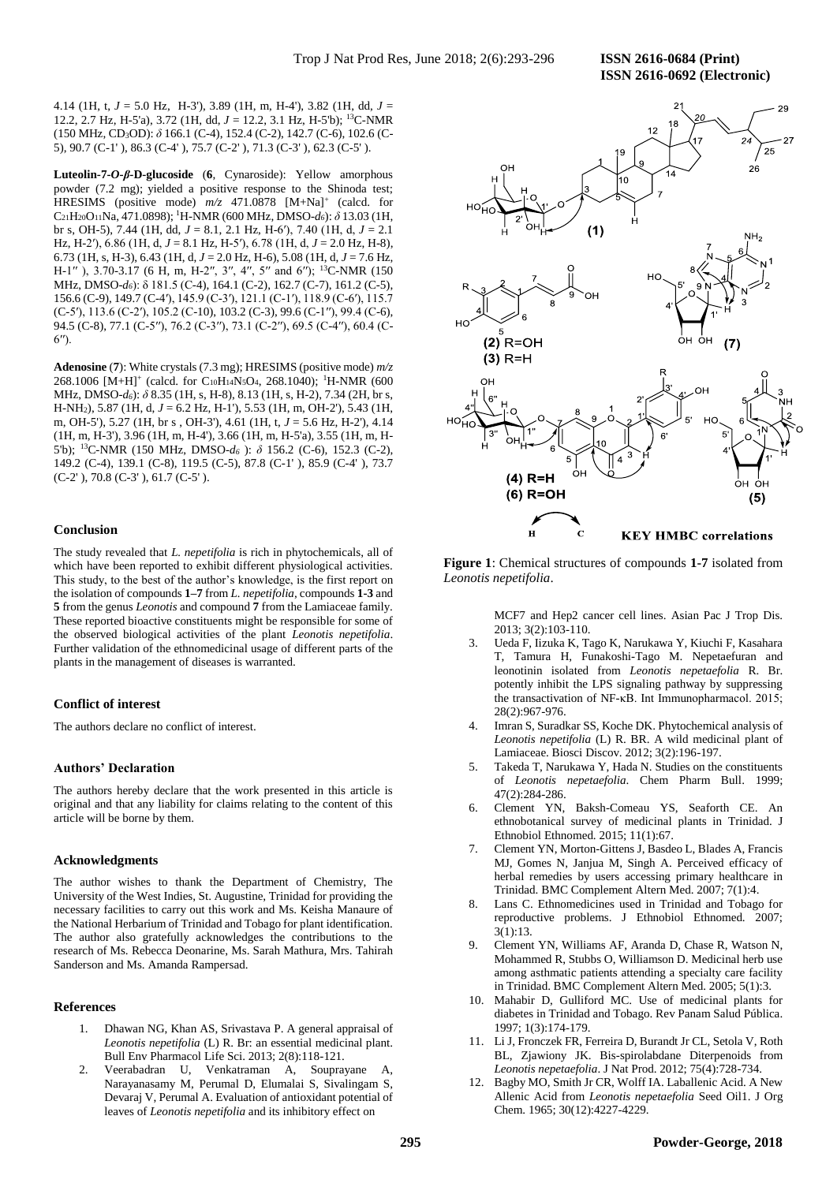**ISSN 2616-0692 (Electronic)** 

4.14 (1H, t, *J* = 5.0 Hz, H-3'), 3.89 (1H, m, H-4'), 3.82 (1H, dd, *J* = 12.2, 2.7 Hz, H-5'a), 3.72 (1H, dd, *J* = 12.2, 3.1 Hz, H-5'b); <sup>13</sup>C-NMR (150 MHz, CD3OD): *δ* 166.1 (C-4), 152.4 (C-2), 142.7 (C-6), 102.6 (C-5), 90.7 (C-1' ), 86.3 (C-4' ), 75.7 (C-2' ), 71.3 (C-3' ), 62.3 (C-5' ).

**Luteolin-7-***O***-***β***-D-glucoside** (**6**, Cynaroside): Yellow amorphous powder (7.2 mg); yielded a positive response to the Shinoda test; HRESIMS (positive mode)  $m/z$  471.0878 [M+Na]<sup>+</sup> (calcd. for C21H20O11Na, 471.0898); <sup>1</sup>H-NMR (600 MHz, DMSO-*d6*): *δ* 13.03 (1H, br s, OH-5), 7.44 (1H, dd, *J* = 8.1, 2.1 Hz, H-6′), 7.40 (1H, d, *J* = 2.1 Hz, H-2′), 6.86 (1H, d, *J* = 8.1 Hz, H-5′), 6.78 (1H, d, *J* = 2.0 Hz, H-8), 6.73 (1H, s, H-3), 6.43 (1H, d, *J* = 2.0 Hz, H-6), 5.08 (1H, d, *J* = 7.6 Hz, H-1″), 3.70-3.17 (6 H, m, H-2″, 3″, 4″, 5″ and 6″); <sup>13</sup>C-NMR (150 MHz, DMSO-*d6*): δ 181.5 (C-4), 164.1 (C-2), 162.7 (C-7), 161.2 (C-5), 156.6 (C-9), 149.7 (C-4′), 145.9 (C-3′), 121.1 (C-1′), 118.9 (C-6′), 115.7 (C-5′), 113.6 (C-2′), 105.2 (C-10), 103.2 (C-3), 99.6 (C-1′′), 99.4 (C-6), 94.5 (C-8), 77.1 (C-5′′), 76.2 (C-3′′), 73.1 (C-2′′), 69.5 (C-4′′), 60.4 (C- $6'$ <sup>'</sup>).

**Adenosine** (**7**): White crystals (7.3 mg); HRESIMS (positive mode) *m/z* 268.1006 [M+H]<sup>+</sup> (calcd. for C<sub>10</sub>H<sub>14</sub>N<sub>5</sub>O<sub>4</sub>, 268.1040); <sup>1</sup>H-NMR (600 MHz, DMSO-*d6*): *δ* 8.35 (1H, s, H-8), 8.13 (1H, s, H-2), 7.34 (2H, br s, H-NH2), 5.87 (1H, d, *J* = 6.2 Hz, H-1'), 5.53 (1H, m, OH-2'), 5.43 (1H, m, OH-5'), 5.27 (1H, br s , OH-3'), 4.61 (1H, t, *J* = 5.6 Hz, H-2'), 4.14 (1H, m, H-3'), 3.96 (1H, m, H-4'), 3.66 (1H, m, H-5'a), 3.55 (1H, m, H-5'b); <sup>13</sup>C-NMR (150 MHz, DMSO-*d<sup>6</sup>* ): *δ* 156.2 (C-6), 152.3 (C-2), 149.2 (C-4), 139.1 (C-8), 119.5 (C-5), 87.8 (C-1' ), 85.9 (C-4' ), 73.7 (C-2' ), 70.8 (C-3' ), 61.7 (C-5' ).

### **Conclusion**

The study revealed that *L. nepetifolia* is rich in phytochemicals, all of which have been reported to exhibit different physiological activities. This study, to the best of the author's knowledge, is the first report on the isolation of compounds **1–7** from *L. nepetifolia*, compounds **1-3** and **5** from the genus *Leonotis* and compound **7** from the Lamiaceae family. These reported bioactive constituents might be responsible for some of the observed biological activities of the plant *Leonotis nepetifolia*. Further validation of the ethnomedicinal usage of different parts of the plants in the management of diseases is warranted.

#### **Conflict of interest**

The authors declare no conflict of interest.

#### **Authors' Declaration**

The authors hereby declare that the work presented in this article is original and that any liability for claims relating to the content of this article will be borne by them.

#### **Acknowledgments**

The author wishes to thank the Department of Chemistry, The University of the West Indies, St. Augustine, Trinidad for providing the necessary facilities to carry out this work and Ms. Keisha Manaure of the National Herbarium of Trinidad and Tobago for plant identification. The author also gratefully acknowledges the contributions to the research of Ms. Rebecca Deonarine, Ms. Sarah Mathura, Mrs. Tahirah Sanderson and Ms. Amanda Rampersad.

#### **References**

- 1. Dhawan NG, Khan AS, Srivastava P. A general appraisal of *Leonotis nepetifolia* (L) R. Br: an essential medicinal plant. Bull Env Pharmacol Life Sci. 2013; 2(8):118-121.
- 2. Veerabadran U, Venkatraman A, Souprayane A, Narayanasamy M, Perumal D, Elumalai S, Sivalingam S, Devaraj V, Perumal A. Evaluation of antioxidant potential of leaves of *Leonotis nepetifolia* and its inhibitory effect on



**Figure 1**: Chemical structures of compounds **1-7** isolated from *Leonotis nepetifolia*.

> MCF7 and Hep2 cancer cell lines. Asian Pac J Trop Dis. 2013; 3(2):103-110.

- 3. Ueda F, Iizuka K, Tago K, Narukawa Y, Kiuchi F, Kasahara T, Tamura H, Funakoshi-Tago M. Nepetaefuran and leonotinin isolated from *Leonotis nepetaefolia* R. Br. potently inhibit the LPS signaling pathway by suppressing the transactivation of NF-κB. Int Immunopharmacol. 2015; 28(2):967-976.
- 4. Imran S, Suradkar SS, Koche DK. Phytochemical analysis of *Leonotis nepetifolia* (L) R. BR. A wild medicinal plant of Lamiaceae. Biosci Discov. 2012; 3(2):196-197.
- 5. Takeda T, Narukawa Y, Hada N. Studies on the constituents of *Leonotis nepetaefolia*. Chem Pharm Bull. 1999; 47(2):284-286.
- 6. Clement YN, Baksh-Comeau YS, Seaforth CE. An ethnobotanical survey of medicinal plants in Trinidad. J Ethnobiol Ethnomed. 2015; 11(1):67.
- 7. Clement YN, Morton-Gittens J, Basdeo L, Blades A, Francis MJ, Gomes N, Janjua M, Singh A. Perceived efficacy of herbal remedies by users accessing primary healthcare in Trinidad. BMC Complement Altern Med. 2007; 7(1):4.
- 8. Lans C. Ethnomedicines used in Trinidad and Tobago for reproductive problems. J Ethnobiol Ethnomed. 2007; 3(1):13.
- 9. Clement YN, Williams AF, Aranda D, Chase R, Watson N, Mohammed R, Stubbs O, Williamson D. Medicinal herb use among asthmatic patients attending a specialty care facility in Trinidad. BMC Complement Altern Med. 2005; 5(1):3.
- 10. Mahabir D, Gulliford MC. Use of medicinal plants for diabetes in Trinidad and Tobago. Rev Panam Salud Pública. 1997; 1(3):174-179.
- 11. Li J, Fronczek FR, Ferreira D, Burandt Jr CL, Setola V, Roth BL, Zjawiony JK. Bis-spirolabdane Diterpenoids from *Leonotis nepetaefolia*. J Nat Prod. 2012; 75(4):728-734.
- 12. Bagby MO, Smith Jr CR, Wolff IA. Laballenic Acid. A New Allenic Acid from *Leonotis nepetaefolia* Seed Oil1. J Org Chem. 1965; 30(12):4227-4229.